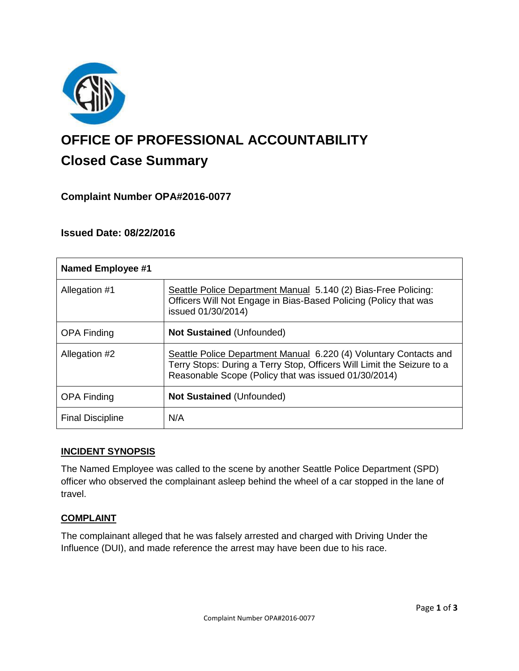

# **OFFICE OF PROFESSIONAL ACCOUNTABILITY Closed Case Summary**

## **Complaint Number OPA#2016-0077**

## **Issued Date: 08/22/2016**

| <b>Named Employee #1</b> |                                                                                                                                                                                                     |
|--------------------------|-----------------------------------------------------------------------------------------------------------------------------------------------------------------------------------------------------|
| Allegation #1            | Seattle Police Department Manual 5.140 (2) Bias-Free Policing:<br>Officers Will Not Engage in Bias-Based Policing (Policy that was<br>issued 01/30/2014)                                            |
| <b>OPA Finding</b>       | <b>Not Sustained (Unfounded)</b>                                                                                                                                                                    |
| Allegation #2            | Seattle Police Department Manual 6.220 (4) Voluntary Contacts and<br>Terry Stops: During a Terry Stop, Officers Will Limit the Seizure to a<br>Reasonable Scope (Policy that was issued 01/30/2014) |
| <b>OPA Finding</b>       | <b>Not Sustained (Unfounded)</b>                                                                                                                                                                    |
| <b>Final Discipline</b>  | N/A                                                                                                                                                                                                 |

#### **INCIDENT SYNOPSIS**

The Named Employee was called to the scene by another Seattle Police Department (SPD) officer who observed the complainant asleep behind the wheel of a car stopped in the lane of travel.

#### **COMPLAINT**

The complainant alleged that he was falsely arrested and charged with Driving Under the Influence (DUI), and made reference the arrest may have been due to his race.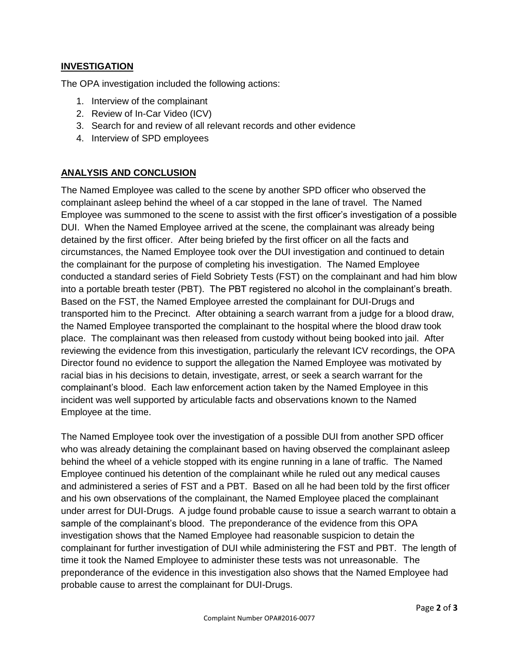## **INVESTIGATION**

The OPA investigation included the following actions:

- 1. Interview of the complainant
- 2. Review of In-Car Video (ICV)
- 3. Search for and review of all relevant records and other evidence
- 4. Interview of SPD employees

## **ANALYSIS AND CONCLUSION**

The Named Employee was called to the scene by another SPD officer who observed the complainant asleep behind the wheel of a car stopped in the lane of travel. The Named Employee was summoned to the scene to assist with the first officer's investigation of a possible DUI. When the Named Employee arrived at the scene, the complainant was already being detained by the first officer. After being briefed by the first officer on all the facts and circumstances, the Named Employee took over the DUI investigation and continued to detain the complainant for the purpose of completing his investigation. The Named Employee conducted a standard series of Field Sobriety Tests (FST) on the complainant and had him blow into a portable breath tester (PBT). The PBT registered no alcohol in the complainant's breath. Based on the FST, the Named Employee arrested the complainant for DUI-Drugs and transported him to the Precinct. After obtaining a search warrant from a judge for a blood draw, the Named Employee transported the complainant to the hospital where the blood draw took place. The complainant was then released from custody without being booked into jail. After reviewing the evidence from this investigation, particularly the relevant ICV recordings, the OPA Director found no evidence to support the allegation the Named Employee was motivated by racial bias in his decisions to detain, investigate, arrest, or seek a search warrant for the complainant's blood. Each law enforcement action taken by the Named Employee in this incident was well supported by articulable facts and observations known to the Named Employee at the time.

The Named Employee took over the investigation of a possible DUI from another SPD officer who was already detaining the complainant based on having observed the complainant asleep behind the wheel of a vehicle stopped with its engine running in a lane of traffic. The Named Employee continued his detention of the complainant while he ruled out any medical causes and administered a series of FST and a PBT. Based on all he had been told by the first officer and his own observations of the complainant, the Named Employee placed the complainant under arrest for DUI-Drugs. A judge found probable cause to issue a search warrant to obtain a sample of the complainant's blood. The preponderance of the evidence from this OPA investigation shows that the Named Employee had reasonable suspicion to detain the complainant for further investigation of DUI while administering the FST and PBT. The length of time it took the Named Employee to administer these tests was not unreasonable. The preponderance of the evidence in this investigation also shows that the Named Employee had probable cause to arrest the complainant for DUI-Drugs.